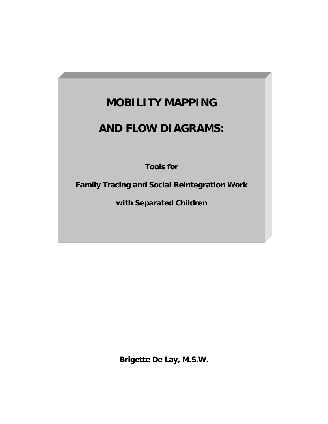# **MOBILITY MAPPING**

# **AND FLOW DIAGRAMS:**

**Tools for** 

**Family Tracing and Social Reintegration Work** 

**with Separated Children**

**Brigette De Lay, M.S.W.**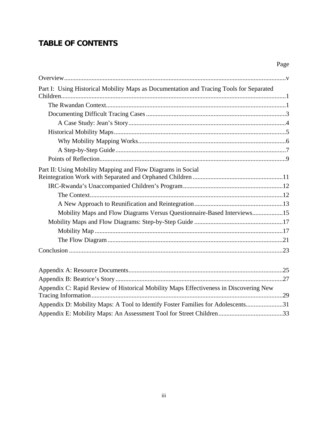# **TABLE OF CONTENTS**

| Part I: Using Historical Mobility Maps as Documentation and Tracing Tools for Separated |  |
|-----------------------------------------------------------------------------------------|--|
|                                                                                         |  |
|                                                                                         |  |
|                                                                                         |  |
|                                                                                         |  |
|                                                                                         |  |
|                                                                                         |  |
|                                                                                         |  |
|                                                                                         |  |
| Part II: Using Mobility Mapping and Flow Diagrams in Social                             |  |
|                                                                                         |  |
|                                                                                         |  |
|                                                                                         |  |
|                                                                                         |  |
| Mobility Maps and Flow Diagrams Versus Questionnaire-Based Interviews15                 |  |
|                                                                                         |  |
|                                                                                         |  |
|                                                                                         |  |
|                                                                                         |  |
|                                                                                         |  |
|                                                                                         |  |
| Appendix C: Rapid Review of Historical Mobility Maps Effectiveness in Discovering New   |  |
| Appendix D: Mobility Maps: A Tool to Identify Foster Families for Adolescents31         |  |
|                                                                                         |  |

Page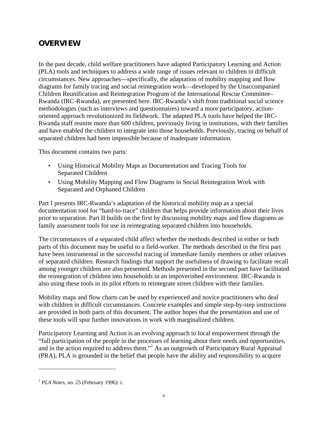# **OVERVIEW**

In the past decade, child welfare practitioners have adapted Participatory Learning and Action (PLA) tools and techniques to address a wide range of issues relevant to children in difficult circumstances. New approaches—specifically, the adaptation of mobility mapping and flow diagrams for family tracing and social reintegration work—developed by the Unaccompanied Children Reunification and Reintegration Program of the International Rescue Committee– Rwanda (IRC-Rwanda), are presented here. IRC-Rwanda's shift from traditional social science methodologies (such as interviews and questionnaires) toward a more participatory, actionoriented approach revolutionized its fieldwork. The adapted PLA tools have helped the IRC-Rwanda staff reunite more than 600 children, previously living in institutions, with their families and have enabled the children to integrate into those households. Previously, tracing on behalf of separated children had been impossible because of inadequate information.

This document contains two parts:

- Using Historical Mobility Maps as Documentation and Tracing Tools for Separated Children
- Using Mobility Mapping and Flow Diagrams in Social Reintegration Work with Separated and Orphaned Children

Part I presents IRC-Rwanda's adaptation of the historical mobility map as a special documentation tool for "hard-to-trace" children that helps provide information about their lives prior to separation. Part II builds on the first by discussing mobility maps and flow diagrams as family assessment tools for use in reintegrating separated children into households.

The circumstances of a separated child affect whether the methods described in either or both parts of this document may be useful to a field-worker. The methods described in the first part have been instrumental in the successful tracing of immediate family members or other relatives of separated children. Research findings that support the usefulness of drawing to facilitate recall among younger children are also presented. Methods presented in the second part have facilitated the reintegration of children into households in an impoverished environment. IRC-Rwanda is also using these tools in its pilot efforts to reintegrate street children with their families.

Mobility maps and flow charts can be used by experienced and novice practitioners who deal with children in difficult circumstances. Concrete examples and simple step-by-step instructions are provided in both parts of this document. The author hopes that the presentation and use of these tools will spur further innovations in work with marginalized children.

Participatory Learning and Action is an evolving approach to local empowerment through the "full participation of the people in the processes of learning about their needs and opportunities, and in the action required to address them."<sup>1</sup> As an outgrowth of Participatory Rural Appraisal (PRA), PLA is grounded in the belief that people have the ability and responsibility to acquire

 $\overline{a}$ 

<sup>1</sup> *PLA Notes*, no. 25 (February 1996): i.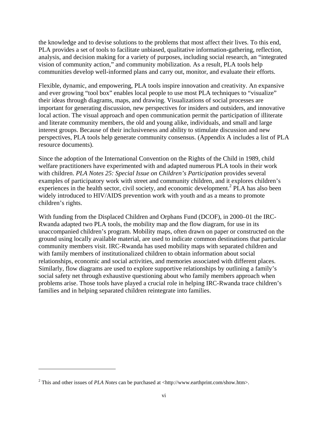the knowledge and to devise solutions to the problems that most affect their lives. To this end, PLA provides a set of tools to facilitate unbiased, qualitative information-gathering, reflection, analysis, and decision making for a variety of purposes, including social research, an "integrated vision of community action," and community mobilization. As a result, PLA tools help communities develop well-informed plans and carry out, monitor, and evaluate their efforts.

Flexible, dynamic, and empowering, PLA tools inspire innovation and creativity. An expansive and ever growing "tool box" enables local people to use most PLA techniques to "visualize" their ideas through diagrams, maps, and drawing. Visualizations of social processes are important for generating discussion, new perspectives for insiders and outsiders, and innovative local action. The visual approach and open communication permit the participation of illiterate and literate community members, the old and young alike, individuals, and small and large interest groups. Because of their inclusiveness and ability to stimulate discussion and new perspectives, PLA tools help generate community consensus. (Appendix A includes a list of PLA resource documents).

Since the adoption of the International Convention on the Rights of the Child in 1989, child welfare practitioners have experimented with and adapted numerous PLA tools in their work with children. *PLA Notes 25: Special Issue on Children's Participation* provides several examples of participatory work with street and community children, and it explores children's experiences in the health sector, civil society, and economic development.<sup>2</sup> PLA has also been widely introduced to HIV/AIDS prevention work with youth and as a means to promote children's rights.

With funding from the Displaced Children and Orphans Fund (DCOF), in 2000–01 the IRC-Rwanda adapted two PLA tools, the mobility map and the flow diagram, for use in its unaccompanied children's program. Mobility maps, often drawn on paper or constructed on the ground using locally available material, are used to indicate common destinations that particular community members visit. IRC-Rwanda has used mobility maps with separated children and with family members of institutionalized children to obtain information about social relationships, economic and social activities, and memories associated with different places. Similarly, flow diagrams are used to explore supportive relationships by outlining a family's social safety net through exhaustive questioning about who family members approach when problems arise. Those tools have played a crucial role in helping IRC-Rwanda trace children's families and in helping separated children reintegrate into families.

 $\overline{a}$ 

<sup>&</sup>lt;sup>2</sup> This and other issues of *PLA Notes* can be purchased at <http://www.earthprint.com/show.htm>.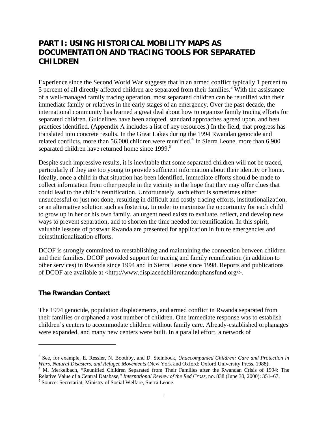# **PART I: USING HISTORICAL MOBILITY MAPS AS DOCUMENTATION AND TRACING TOOLS FOR SEPARATED CHILDREN**

Experience since the Second World War suggests that in an armed conflict typically 1 percent to  $5$  percent of all directly affected children are separated from their families.<sup>3</sup> With the assistance of a well-managed family tracing operation, most separated children can be reunified with their immediate family or relatives in the early stages of an emergency. Over the past decade, the international community has learned a great deal about how to organize family tracing efforts for separated children. Guidelines have been adopted, standard approaches agreed upon, and best practices identified. (Appendix A includes a list of key resources.) In the field, that progress has translated into concrete results. In the Great Lakes during the 1994 Rwandan genocide and related conflicts, more than 56,000 children were reunified.<sup>4</sup> In Sierra Leone, more than 6,900 separated children have returned home since 1999.<sup>5</sup>

Despite such impressive results, it is inevitable that some separated children will not be traced, particularly if they are too young to provide sufficient information about their identity or home. Ideally, once a child in that situation has been identified, immediate efforts should be made to collect information from other people in the vicinity in the hope that they may offer clues that could lead to the child's reunification. Unfortunately, such effort is sometimes either unsuccessful or just not done, resulting in difficult and costly tracing efforts, institutionalization, or an alternative solution such as fostering. In order to maximize the opportunity for each child to grow up in her or his own family, an urgent need exists to evaluate, reflect, and develop new ways to prevent separation, and to shorten the time needed for reunification. In this spirit, valuable lessons of postwar Rwanda are presented for application in future emergencies and deinstitutionalization efforts.

DCOF is strongly committed to reestablishing and maintaining the connection between children and their families. DCOF provided support for tracing and family reunification (in addition to other services) in Rwanda since 1994 and in Sierra Leone since 1998. Reports and publications of DCOF are available at <http://www.displacedchildrenandorphansfund.org/>.

### **The Rwandan Context**

 $\overline{a}$ 

The 1994 genocide, population displacements, and armed conflict in Rwanda separated from their families or orphaned a vast number of children. One immediate response was to establish children's centers to accommodate children without family care. Already-established orphanages were expanded, and many new centers were built. In a parallel effort, a network of

<sup>3</sup> See, for example, E. Ressler, N. Boothby, and D. Steinbock, *Unaccompanied Children: Care and Protection in Wars, Natural Disasters, and Refugee Movements* (New York and Oxford: Oxford University Press, 1988). 4

<sup>&</sup>lt;sup>4</sup> M. Merkelbach, "Reunified Children Separated from Their Families after the Rwandan Crisis of 1994: The Relative Value of a Central Database," *International Review of the Red Cross*, no. 838 (June 30, 2000): 351–67. 5

<sup>&</sup>lt;sup>5</sup> Source: Secretariat, Ministry of Social Welfare, Sierra Leone.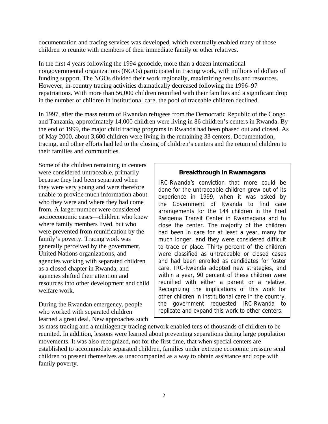documentation and tracing services was developed, which eventually enabled many of those children to reunite with members of their immediate family or other relatives.

In the first 4 years following the 1994 genocide, more than a dozen international nongovernmental organizations (NGOs) participated in tracing work, with millions of dollars of funding support. The NGOs divided their work regionally, maximizing results and resources. However, in-country tracing activities dramatically decreased following the 1996–97 repatriations. With more than 56,000 children reunified with their families and a significant drop in the number of children in institutional care, the pool of traceable children declined.

In 1997, after the mass return of Rwandan refugees from the Democratic Republic of the Congo and Tanzania, approximately 14,000 children were living in 86 children's centers in Rwanda. By the end of 1999, the major child tracing programs in Rwanda had been phased out and closed. As of May 2000, about 3,600 children were living in the remaining 33 centers. Documentation, tracing, and other efforts had led to the closing of children's centers and the return of children to their families and communities.

Some of the children remaining in centers were considered untraceable, primarily because they had been separated when they were very young and were therefore unable to provide much information about who they were and where they had come from. A larger number were considered socioeconomic cases—children who knew where family members lived, but who were prevented from reunification by the family's poverty. Tracing work was generally perceived by the government, United Nations organizations, and agencies working with separated children as a closed chapter in Rwanda, and agencies shifted their attention and resources into other development and child welfare work.

During the Rwandan emergency, people who worked with separated children learned a great deal. New approaches such

#### **Breakthrough in Rwamagana**

IRC-Rwanda's conviction that more could be done for the untraceable children grew out of its experience in 1999, when it was asked by the Government of Rwanda to find care arrangements for the 144 children in the Fred Rwigema Transit Center in Rwamagana and to close the center. The majority of the children had been in care for at least a year, many for much longer, and they were considered difficult to trace or place. Thirty percent of the children were classified as untraceable or closed cases and had been enrolled as candidates for foster care. IRC-Rwanda adopted new strategies, and within a year, 90 percent of these children were reunified with either a parent or a relative. Recognizing the implications of this work for other children in institutional care in the country, the government requested IRC-Rwanda to replicate and expand this work to other centers.

as mass tracing and a multiagency tracing network enabled tens of thousands of children to be reunited. In addition, lessons were learned about preventing separations during large population movements. It was also recognized, not for the first time, that when special centers are established to accommodate separated children, families under extreme economic pressure send children to present themselves as unaccompanied as a way to obtain assistance and cope with family poverty.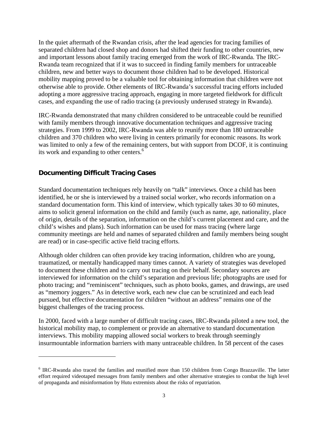In the quiet aftermath of the Rwandan crisis, after the lead agencies for tracing families of separated children had closed shop and donors had shifted their funding to other countries, new and important lessons about family tracing emerged from the work of IRC-Rwanda. The IRC-Rwanda team recognized that if it was to succeed in finding family members for untraceable children, new and better ways to document those children had to be developed. Historical mobility mapping proved to be a valuable tool for obtaining information that children were not otherwise able to provide. Other elements of IRC-Rwanda's successful tracing efforts included adopting a more aggressive tracing approach, engaging in more targeted fieldwork for difficult cases, and expanding the use of radio tracing (a previously underused strategy in Rwanda).

IRC-Rwanda demonstrated that many children considered to be untraceable could be reunified with family members through innovative documentation techniques and aggressive tracing strategies. From 1999 to 2002, IRC-Rwanda was able to reunify more than 180 untraceable children and 370 children who were living in centers primarily for economic reasons. Its work was limited to only a few of the remaining centers, but with support from DCOF, it is continuing its work and expanding to other centers. $6$ 

## **Documenting Difficult Tracing Cases**

 $\overline{a}$ 

Standard documentation techniques rely heavily on "talk" interviews. Once a child has been identified, he or she is interviewed by a trained social worker, who records information on a standard documentation form. This kind of interview, which typically takes 30 to 60 minutes, aims to solicit general information on the child and family (such as name, age, nationality, place of origin, details of the separation, information on the child's current placement and care, and the child's wishes and plans). Such information can be used for mass tracing (where large community meetings are held and names of separated children and family members being sought are read) or in case-specific active field tracing efforts.

Although older children can often provide key tracing information, children who are young, traumatized, or mentally handicapped many times cannot. A variety of strategies was developed to document these children and to carry out tracing on their behalf. Secondary sources are interviewed for information on the child's separation and previous life; photographs are used for photo tracing; and "reminiscent" techniques, such as photo books, games, and drawings, are used as "memory joggers." As in detective work, each new clue can be scrutinized and each lead pursued, but effective documentation for children "without an address" remains one of the biggest challenges of the tracing process.

In 2000, faced with a large number of difficult tracing cases, IRC-Rwanda piloted a new tool, the historical mobility map, to complement or provide an alternative to standard documentation interviews. This mobility mapping allowed social workers to break through seemingly insurmountable information barriers with many untraceable children. In 58 percent of the cases

<sup>&</sup>lt;sup>6</sup> IRC-Rwanda also traced the families and reunified more than 150 children from Congo Brazzaville. The latter effort required videotaped messages from family members and other alternative strategies to combat the high level of propaganda and misinformation by Hutu extremists about the risks of repatriation.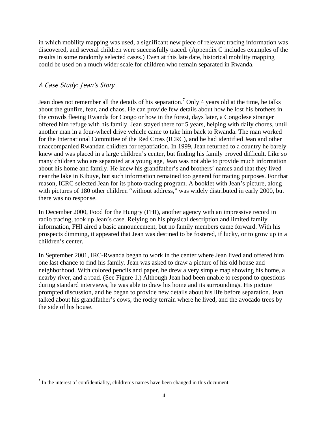in which mobility mapping was used, a significant new piece of relevant tracing information was discovered, and several children were successfully traced. (Appendix C includes examples of the results in some randomly selected cases.) Even at this late date, historical mobility mapping could be used on a much wider scale for children who remain separated in Rwanda.

## A Case Study: Jean's Story

 $\overline{a}$ 

Jean does not remember all the details of his separation.<sup>7</sup> Only 4 years old at the time, he talks about the gunfire, fear, and chaos. He can provide few details about how he lost his brothers in the crowds fleeing Rwanda for Congo or how in the forest, days later, a Congolese stranger offered him refuge with his family. Jean stayed there for 5 years, helping with daily chores, until another man in a four-wheel drive vehicle came to take him back to Rwanda. The man worked for the International Committee of the Red Cross (ICRC), and he had identified Jean and other unaccompanied Rwandan children for repatriation. In 1999, Jean returned to a country he barely knew and was placed in a large children's center, but finding his family proved difficult. Like so many children who are separated at a young age, Jean was not able to provide much information about his home and family. He knew his grandfather's and brothers' names and that they lived near the lake in Kibuye, but such information remained too general for tracing purposes. For that reason, ICRC selected Jean for its photo-tracing program. A booklet with Jean's picture, along with pictures of 180 other children "without address," was widely distributed in early 2000, but there was no response.

In December 2000, Food for the Hungry (FHI), another agency with an impressive record in radio tracing, took up Jean's case. Relying on his physical description and limited family information, FHI aired a basic announcement, but no family members came forward. With his prospects dimming, it appeared that Jean was destined to be fostered, if lucky, or to grow up in a children's center.

In September 2001, IRC-Rwanda began to work in the center where Jean lived and offered him one last chance to find his family. Jean was asked to draw a picture of his old house and neighborhood. With colored pencils and paper, he drew a very simple map showing his home, a nearby river, and a road. (See Figure 1.) Although Jean had been unable to respond to questions during standard interviews, he was able to draw his home and its surroundings. His picture prompted discussion, and he began to provide new details about his life before separation. Jean talked about his grandfather's cows, the rocky terrain where he lived, and the avocado trees by the side of his house.

 $<sup>7</sup>$  In the interest of confidentiality, children's names have been changed in this document.</sup>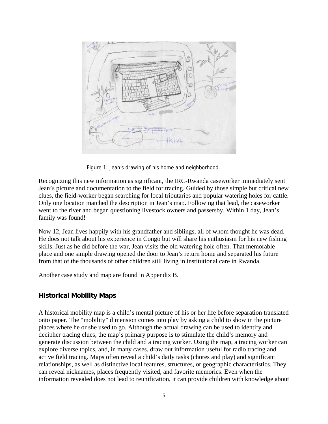

Figure 1. Jean's drawing of his home and neighborhood.

Recognizing this new information as significant, the IRC-Rwanda caseworker immediately sent Jean's picture and documentation to the field for tracing. Guided by those simple but critical new clues, the field-worker began searching for local tributaries and popular watering holes for cattle. Only one location matched the description in Jean's map. Following that lead, the caseworker went to the river and began questioning livestock owners and passersby. Within 1 day, Jean's family was found!

Now 12, Jean lives happily with his grandfather and siblings, all of whom thought he was dead. He does not talk about his experience in Congo but will share his enthusiasm for his new fishing skills. Just as he did before the war, Jean visits the old watering hole often. That memorable place and one simple drawing opened the door to Jean's return home and separated his future from that of the thousands of other children still living in institutional care in Rwanda.

Another case study and map are found in Appendix B.

## **Historical Mobility Maps**

A historical mobility map is a child's mental picture of his or her life before separation translated onto paper. The "mobility" dimension comes into play by asking a child to show in the picture places where he or she used to go. Although the actual drawing can be used to identify and decipher tracing clues, the map's primary purpose is to stimulate the child's memory and generate discussion between the child and a tracing worker. Using the map, a tracing worker can explore diverse topics, and, in many cases, draw out information useful for radio tracing and active field tracing. Maps often reveal a child's daily tasks (chores and play) and significant relationships, as well as distinctive local features, structures, or geographic characteristics. They can reveal nicknames, places frequently visited, and favorite memories. Even when the information revealed does not lead to reunification, it can provide children with knowledge about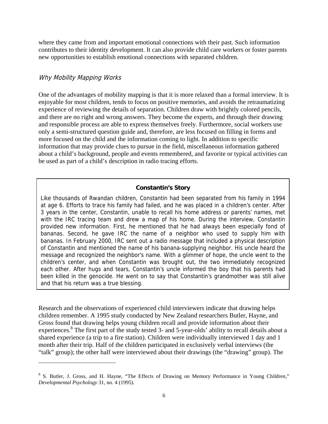where they came from and important emotional connections with their past. Such information contributes to their identity development. It can also provide child care workers or foster parents new opportunities to establish emotional connections with separated children.

#### Why Mobility Mapping Works

1

One of the advantages of mobility mapping is that it is more relaxed than a formal interview. It is enjoyable for most children, tends to focus on positive memories, and avoids the retraumatizing experience of reviewing the details of separation. Children draw with brightly colored pencils, and there are no right and wrong answers. They become the experts, and through their drawing and responsible process are able to express themselves freely. Furthermore, social workers use only a semi-structured question guide and, therefore, are less focused on filling in forms and more focused on the child and the information coming to light. In addition to specific information that may provide clues to pursue in the field, miscellaneous information gathered about a child's background, people and events remembered, and favorite or typical activities can be used as part of a child's description in radio tracing efforts.

#### **Constantin's Story**

Like thousands of Rwandan children, Constantin had been separated from his family in 1994 at age 6. Efforts to trace his family had failed, and he was placed in a children's center. After 3 years in the center, Constantin, unable to recall his home address or parents' names, met with the IRC tracing team and drew a map of his home. During the interview, Constantin provided new information. First, he mentioned that he had always been especially fond of bananas. Second, he gave IRC the name of a neighbor who used to supply him with bananas. In February 2000, IRC sent out a radio message that included a physical description of Constantin and mentioned the name of his banana-supplying neighbor. His uncle heard the message and recognized the neighbor's name. With a glimmer of hope, the uncle went to the children's center, and when Constantin was brought out, the two immediately recognized each other. After hugs and tears, Constantin's uncle informed the boy that his parents had been killed in the genocide. He went on to say that Constantin's grandmother was still alive and that his return was a true blessing.

Research and the observations of experienced child interviewers indicate that drawing helps children remember. A 1995 study conducted by New Zealand researchers Butler, Hayne, and Gross found that drawing helps young children recall and provide information about their experiences.<sup>8</sup> The first part of the study tested 3- and 5-year-olds' ability to recall details about a shared experience (a trip to a fire station). Children were individually interviewed 1 day and 1 month after their trip. Half of the children participated in exclusively verbal interviews (the "talk" group); the other half were interviewed about their drawings (the "drawing" group). The

<sup>&</sup>lt;sup>8</sup> S. Butler, J. Gross, and H. Hayne, "The Effects of Drawing on Memory Performance in Young Children," *Developmental Psychology* 31, no. 4 (1995).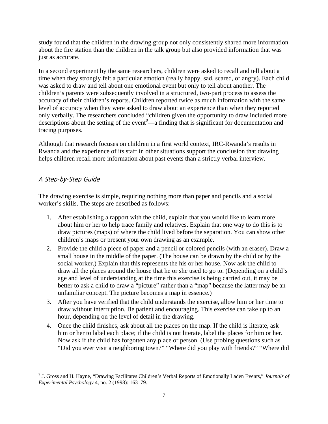study found that the children in the drawing group not only consistently shared more information about the fire station than the children in the talk group but also provided information that was just as accurate.

In a second experiment by the same researchers, children were asked to recall and tell about a time when they strongly felt a particular emotion (really happy, sad, scared, or angry). Each child was asked to draw and tell about one emotional event but only to tell about another. The children's parents were subsequently involved in a structured, two-part process to assess the accuracy of their children's reports. Children reported twice as much information with the same level of accuracy when they were asked to draw about an experience than when they reported only verbally. The researchers concluded "children given the opportunity to draw included more descriptions about the setting of the event $9$ —a finding that is significant for documentation and tracing purposes.

Although that research focuses on children in a first world context, IRC-Rwanda's results in Rwanda and the experience of its staff in other situations support the conclusion that drawing helps children recall more information about past events than a strictly verbal interview.

## A Step-by-Step Guide

 $\overline{a}$ 

The drawing exercise is simple, requiring nothing more than paper and pencils and a social worker's skills. The steps are described as follows:

- 1. After establishing a rapport with the child, explain that you would like to learn more about him or her to help trace family and relatives. Explain that one way to do this is to draw pictures (maps) of where the child lived before the separation. You can show other children's maps or present your own drawing as an example.
- 2. Provide the child a piece of paper and a pencil or colored pencils (with an eraser). Draw a small house in the middle of the paper. (The house can be drawn by the child or by the social worker.) Explain that this represents the his or her house. Now ask the child to draw all the places around the house that he or she used to go to. (Depending on a child's age and level of understanding at the time this exercise is being carried out, it may be better to ask a child to draw a "picture" rather than a "map" because the latter may be an unfamiliar concept. The picture becomes a map in essence.)
- 3. After you have verified that the child understands the exercise, allow him or her time to draw without interruption. Be patient and encouraging. This exercise can take up to an hour, depending on the level of detail in the drawing.
- 4. Once the child finishes, ask about all the places on the map. If the child is literate, ask him or her to label each place; if the child is not literate, label the places for him or her. Now ask if the child has forgotten any place or person. (Use probing questions such as "Did you ever visit a neighboring town?" "Where did you play with friends?" "Where did

<sup>9</sup> J. Gross and H. Hayne, "Drawing Facilitates Children's Verbal Reports of Emotionally Laden Events," *Journals of Experimental Psychology* 4, no. 2 (1998): 163–79.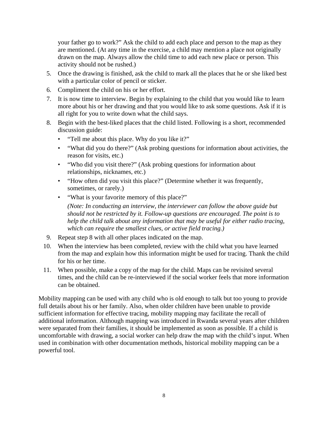your father go to work?" Ask the child to add each place and person to the map as they are mentioned. (At any time in the exercise, a child may mention a place not originally drawn on the map. Always allow the child time to add each new place or person. This activity should not be rushed.)

- 5. Once the drawing is finished, ask the child to mark all the places that he or she liked best with a particular color of pencil or sticker.
- 6. Compliment the child on his or her effort.
- 7. It is now time to interview. Begin by explaining to the child that you would like to learn more about his or her drawing and that you would like to ask some questions. Ask if it is all right for you to write down what the child says.
- 8. Begin with the best-liked places that the child listed. Following is a short, recommended discussion guide:
	- "Tell me about this place. Why do you like it?"
	- "What did you do there?" (Ask probing questions for information about activities, the reason for visits, etc.)
	- "Who did you visit there?" (Ask probing questions for information about relationships, nicknames, etc.)
	- "How often did you visit this place?" (Determine whether it was frequently, sometimes, or rarely.)
	- "What is your favorite memory of this place?"

 *(Note: In conducting an interview, the interviewer can follow the above guide but should not be restricted by it. Follow-up questions are encouraged. The point is to help the child talk about any information that may be useful for either radio tracing, which can require the smallest clues, or active field tracing.)* 

- 9. Repeat step 8 with all other places indicated on the map.
- 10. When the interview has been completed, review with the child what you have learned from the map and explain how this information might be used for tracing. Thank the child for his or her time.
- 11. When possible, make a copy of the map for the child. Maps can be revisited several times, and the child can be re-interviewed if the social worker feels that more information can be obtained.

Mobility mapping can be used with any child who is old enough to talk but too young to provide full details about his or her family. Also, when older children have been unable to provide sufficient information for effective tracing, mobility mapping may facilitate the recall of additional information. Although mapping was introduced in Rwanda several years after children were separated from their families, it should be implemented as soon as possible. If a child is uncomfortable with drawing, a social worker can help draw the map with the child's input. When used in combination with other documentation methods, historical mobility mapping can be a powerful tool.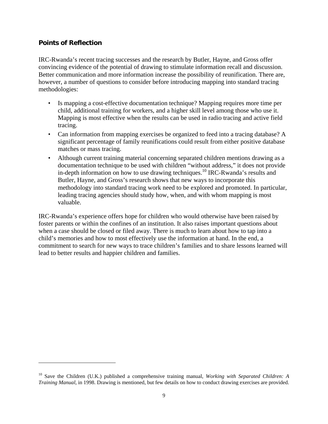## **Points of Reflection**

 $\overline{a}$ 

IRC-Rwanda's recent tracing successes and the research by Butler, Hayne, and Gross offer convincing evidence of the potential of drawing to stimulate information recall and discussion. Better communication and more information increase the possibility of reunification. There are, however, a number of questions to consider before introducing mapping into standard tracing methodologies:

- Is mapping a cost-effective documentation technique? Mapping requires more time per child, additional training for workers, and a higher skill level among those who use it. Mapping is most effective when the results can be used in radio tracing and active field tracing.
- Can information from mapping exercises be organized to feed into a tracing database? A significant percentage of family reunifications could result from either positive database matches or mass tracing.
- Although current training material concerning separated children mentions drawing as a documentation technique to be used with children "without address," it does not provide in-depth information on how to use drawing techniques.10 IRC-Rwanda's results and Butler, Hayne, and Gross's research shows that new ways to incorporate this methodology into standard tracing work need to be explored and promoted. In particular, leading tracing agencies should study how, when, and with whom mapping is most valuable.

IRC-Rwanda's experience offers hope for children who would otherwise have been raised by foster parents or within the confines of an institution. It also raises important questions about when a case should be closed or filed away. There is much to learn about how to tap into a child's memories and how to most effectively use the information at hand. In the end, a commitment to search for new ways to trace children's families and to share lessons learned will lead to better results and happier children and families.

<sup>10</sup> Save the Children (U.K.) published a comprehensive training manual, *Working with Separated Children: A Training Manual*, in 1998. Drawing is mentioned, but few details on how to conduct drawing exercises are provided.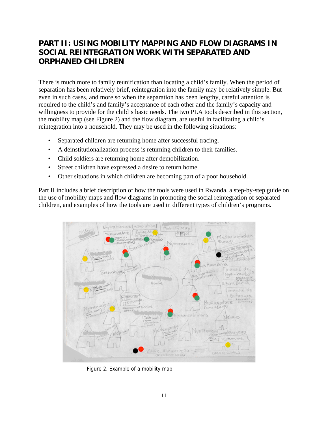# **PART II: USING MOBILITY MAPPING AND FLOW DIAGRAMS IN SOCIAL REINTEGRATION WORK WITH SEPARATED AND ORPHANED CHILDREN**

There is much more to family reunification than locating a child's family. When the period of separation has been relatively brief, reintegration into the family may be relatively simple. But even in such cases, and more so when the separation has been lengthy, careful attention is required to the child's and family's acceptance of each other and the family's capacity and willingness to provide for the child's basic needs. The two PLA tools described in this section, the mobility map (see Figure 2) and the flow diagram, are useful in facilitating a child's reintegration into a household. They may be used in the following situations:

- Separated children are returning home after successful tracing.
- A deinstitutionalization process is returning children to their families.
- Child soldiers are returning home after demobilization.
- Street children have expressed a desire to return home.
- Other situations in which children are becoming part of a poor household.

Part II includes a brief description of how the tools were used in Rwanda, a step-by-step guide on the use of mobility maps and flow diagrams in promoting the social reintegration of separated children, and examples of how the tools are used in different types of children's programs.



Figure 2. Example of a mobility map.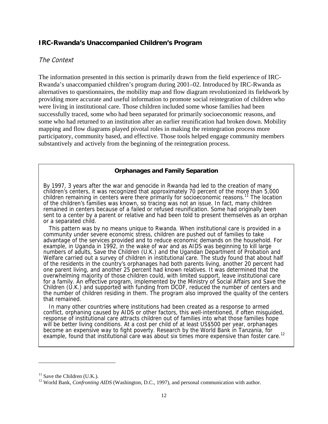### **IRC-Rwanda's Unaccompanied Children's Program**

#### The Context

The information presented in this section is primarily drawn from the field experience of IRC-Rwanda's unaccompanied children's program during 2001–02. Introduced by IRC-Rwanda as alternatives to questionnaires, the mobility map and flow diagram revolutionized its fieldwork by providing more accurate and useful information to promote social reintegration of children who were living in institutional care. Those children included some whose families had been successfully traced, some who had been separated for primarily socioeconomic reasons, and some who had returned to an institution after an earlier reunification had broken down. Mobility mapping and flow diagrams played pivotal roles in making the reintegration process more participatory, community based, and effective. Those tools helped engage community members substantively and actively from the beginning of the reintegration process.

#### **Orphanages and Family Separation**

By 1997, 3 years after the war and genocide in Rwanda had led to the creation of many children's centers, it was recognized that approximately 70 percent of the more than 5,000 children remaining in centers were there primarily for socioeconomic reasons.<sup>11</sup> The location of the children's families was known, so tracing was not an issue. In fact, many children remained in centers because of a failed or refused reunification. Some had originally been sent to a center by a parent or relative and had been told to present themselves as an orphan or a separated child.

 This pattern was by no means unique to Rwanda. When institutional care is provided in a community under severe economic stress, children are pushed out of families to take advantage of the services provided and to reduce economic demands on the household. For example, in Uganda in 1992, in the wake of war and as AIDS was beginning to kill large numbers of adults, Save the Children (U.K.) and the Ugandan Department of Probation and Welfare carried out a survey of children in institutional care. The study found that about half of the residents in the country's orphanages had both parents living, another 20 percent had one parent living, and another 25 percent had known relatives. It was determined that the overwhelming majority of those children could, with limited support, leave institutional care for a family. An effective program, implemented by the Ministry of Social Affairs and Save the Children (U.K.) and supported with funding from DCOF, reduced the number of centers and the number of children residing in them. The program also improved the quality of the centers that remained.

 In many other countries where institutions had been created as a response to armed conflict, orphaning caused by AIDS or other factors, this well-intentioned, if often misguided, response of institutional care attracts children out of families into what those families hope will be better living conditions. At a cost per child of at least US\$500 per year, orphanages become an expensive way to fight poverty. Research by the World Bank in Tanzania, for example, found that institutional care was about six times more expensive than foster care.<sup>12</sup>

 $\overline{a}$ 

 $11$  Save the Children (U.K.).

<sup>&</sup>lt;sup>12</sup> World Bank, *Confronting AIDS* (Washington, D.C., 1997), and personal communication with author.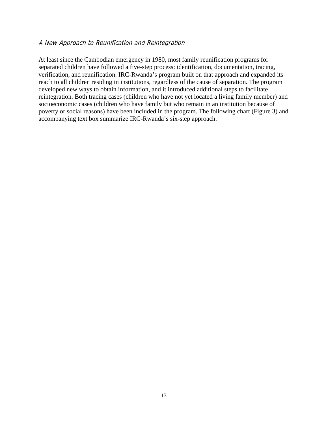#### A New Approach to Reunification and Reintegration

At least since the Cambodian emergency in 1980, most family reunification programs for separated children have followed a five-step process: identification, documentation, tracing, verification, and reunification. IRC-Rwanda's program built on that approach and expanded its reach to all children residing in institutions, regardless of the cause of separation. The program developed new ways to obtain information, and it introduced additional steps to facilitate reintegration. Both tracing cases (children who have not yet located a living family member) and socioeconomic cases (children who have family but who remain in an institution because of poverty or social reasons) have been included in the program. The following chart (Figure 3) and accompanying text box summarize IRC-Rwanda's six-step approach.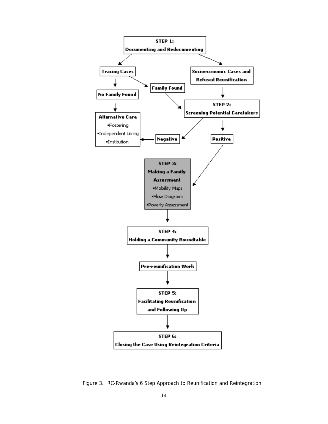

Figure 3. IRC-Rwanda's 6 Step Approach to Reunification and Reintegration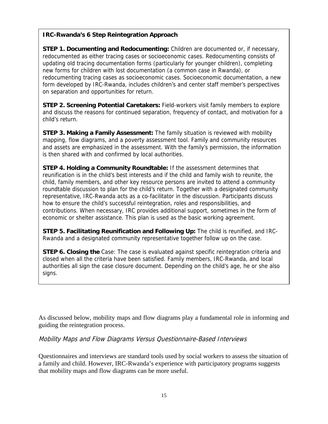## **IRC-Rwanda's 6 Step Reintegration Approach**

**STEP 1. Documenting and Redocumenting:** Children are documented or, if necessary, redocumented as either tracing cases or socioeconomic cases. Redocumenting consists of updating old tracing documentation forms (particularly for younger children), completing new forms for children with lost documentation (a common case in Rwanda), or redocumenting tracing cases as socioeconomic cases. Socioeconomic documentation, a new form developed by IRC-Rwanda, includes children's and center staff member's perspectives on separation and opportunities for return.

**STEP 2. Screening Potential Caretakers:** Field-workers visit family members to explore and discuss the reasons for continued separation, frequency of contact, and motivation for a child's return.

**STEP 3. Making a Family Assessment:** The family situation is reviewed with mobility mapping, flow diagrams, and a poverty assessment tool. Family and community resources and assets are emphasized in the assessment. With the family's permission, the information is then shared with and confirmed by local authorities.

**STEP 4. Holding a Community Roundtable:** If the assessment determines that reunification is in the child's best interests and if the child and family wish to reunite, the child, family members, and other key resource persons are invited to attend a community roundtable discussion to plan for the child's return. Together with a designated community representative, IRC-Rwanda acts as a co-facilitator in the discussion. Participants discuss how to ensure the child's successful reintegration, roles and responsibilities, and contributions. When necessary, IRC provides additional support, sometimes in the form of economic or shelter assistance. This plan is used as the basic working agreement.

**STEP 5. Facilitating Reunification and Following Up:** The child is reunified, and IRC-Rwanda and a designated community representative together follow up on the case.

**STEP 6. Closing the** Case: The case is evaluated against specific reintegration criteria and closed when all the criteria have been satisfied. Family members, IRC-Rwanda, and local authorities all sign the case closure document. Depending on the child's age, he or she also signs.

As discussed below, mobility maps and flow diagrams play a fundamental role in informing and guiding the reintegration process.

Mobility Maps and Flow Diagrams Versus Questionnaire-Based Interviews

Questionnaires and interviews are standard tools used by social workers to assess the situation of a family and child. However, IRC-Rwanda's experience with participatory programs suggests that mobility maps and flow diagrams can be more useful.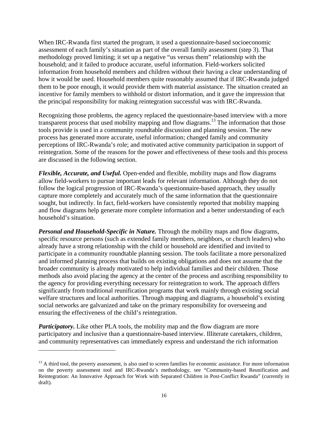When IRC-Rwanda first started the program, it used a questionnaire-based socioeconomic assessment of each family's situation as part of the overall family assessment (step 3). That methodology proved limiting; it set up a negative "us versus them" relationship with the household; and it failed to produce accurate, useful information. Field-workers solicited information from household members and children without their having a clear understanding of how it would be used. Household members quite reasonably assumed that if IRC-Rwanda judged them to be poor enough, it would provide them with material assistance. The situation created an incentive for family members to withhold or distort information, and it gave the impression that the principal responsibility for making reintegration successful was with IRC-Rwanda.

Recognizing those problems, the agency replaced the questionnaire-based interview with a more transparent process that used mobility mapping and flow diagrams.<sup>13</sup> The information that those tools provide is used in a community roundtable discussion and planning session. The new process has generated more accurate, useful information; changed family and community perceptions of IRC-Rwanda's role; and motivated active community participation in support of reintegration. Some of the reasons for the power and effectiveness of these tools and this process are discussed in the following section.

*Flexible, Accurate, and Useful.* Open-ended and flexible, mobility maps and flow diagrams allow field-workers to pursue important leads for relevant information. Although they do not follow the logical progression of IRC-Rwanda's questionnaire-based approach, they usually capture more completely and accurately much of the same information that the questionnaire sought, but indirectly. In fact, field-workers have consistently reported that mobility mapping and flow diagrams help generate more complete information and a better understanding of each household's situation.

*Personal and Household-Specific in Nature.* Through the mobility maps and flow diagrams, specific resource persons (such as extended family members, neighbors, or church leaders) who already have a strong relationship with the child or household are identified and invited to participate in a community roundtable planning session. The tools facilitate a more personalized and informed planning process that builds on existing obligations and does not assume that the broader community is already motivated to help individual families and their children. Those methods also avoid placing the agency at the center of the process and ascribing responsibility to the agency for providing everything necessary for reintegration to work. The approach differs significantly from traditional reunification programs that work mainly through existing social welfare structures and local authorities. Through mapping and diagrams, a household's existing social networks are galvanized and take on the primary responsibility for overseeing and ensuring the effectiveness of the child's reintegration.

*Participatory.* Like other PLA tools, the mobility map and the flow diagram are more participatory and inclusive than a questionnaire-based interview. Illiterate caretakers, children, and community representatives can immediately express and understand the rich information

1

 $<sup>13</sup>$  A third tool, the poverty assessment, is also used to screen families for economic assistance. For more information</sup> on the poverty assessment tool and IRC-Rwanda's methodology, see "Community-based Reunification and Reintegration: An Innovative Approach for Work with Separated Children in Post-Conflict Rwanda" (currently in draft).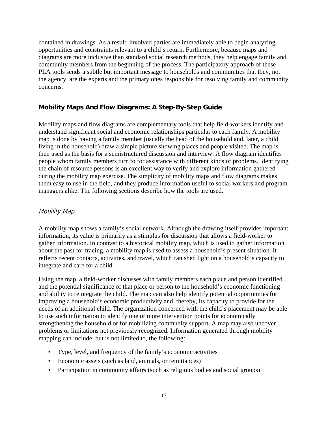contained in drawings. As a result, involved parties are immediately able to begin analyzing opportunities and constraints relevant to a child's return. Furthermore, because maps and diagrams are more inclusive than standard social research methods, they help engage family and community members from the beginning of the process. The participatory approach of these PLA tools sends a subtle but important message to households and communities that they, not the agency, are the experts and the primary ones responsible for resolving family and community concerns.

## **Mobility Maps And Flow Diagrams: A Step-By-Step Guide**

Mobility maps and flow diagrams are complementary tools that help field-workers identify and understand significant social and economic relationships particular to each family. A mobility map is done by having a family member (usually the head of the household and, later, a child living in the household) draw a simple picture showing places and people visited. The map is then used as the basis for a semistructured discussion and interview. A flow diagram identifies people whom family members turn to for assistance with different kinds of problems. Identifying the chain of resource persons is an excellent way to verify and explore information gathered during the mobility map exercise. The simplicity of mobility maps and flow diagrams makes them easy to use in the field, and they produce information useful to social workers and program managers alike. The following sections describe how the tools are used.

## Mobility Map

A mobility map shows a family's social network. Although the drawing itself provides important information, its value is primarily as a stimulus for discussion that allows a field-worker to gather information. In contrast to a historical mobility map, which is used to gather information about the past for tracing, a mobility map is used to assess a household's present situation. It reflects recent contacts, activities, and travel, which can shed light on a household's capacity to integrate and care for a child.

Using the map, a field-worker discusses with family members each place and person identified and the potential significance of that place or person to the household's economic functioning and ability to reintegrate the child. The map can also help identify potential opportunities for improving a household's economic productivity and, thereby, its capacity to provide for the needs of an additional child. The organization concerned with the child's placement may be able to use such information to identify one or more intervention points for economically strengthening the household or for mobilizing community support. A map may also uncover problems or limitations not previously recognized. Information generated through mobility mapping can include, but is not limited to, the following:

- Type, level, and frequency of the family's economic activities
- Economic assets (such as land, animals, or remittances)
- Participation in community affairs (such as religious bodies and social groups)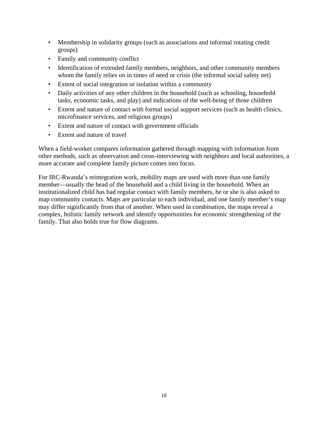- Membership in solidarity groups (such as associations and informal rotating credit groups)
- Family and community conflict
- Identification of extended family members, neighbors, and other community members whom the family relies on in times of need or crisis (the informal social safety net)
- Extent of social integration or isolation within a community
- Daily activities of any other children in the household (such as schooling, household tasks, economic tasks, and play) and indications of the well-being of those children
- Extent and nature of contact with formal social support services (such as health clinics, microfinance services, and religious groups)
- Extent and nature of contact with government officials
- Extent and nature of travel

When a field-worker compares information gathered through mapping with information from other methods, such as observation and cross-interviewing with neighbors and local authorities, a more accurate and complete family picture comes into focus.

For IRC-Rwanda's reintegration work, mobility maps are used with more than one family member—usually the head of the household and a child living in the household. When an institutionalized child has had regular contact with family members, he or she is also asked to map community contacts. Maps are particular to each individual, and one family member's map may differ significantly from that of another. When used in combination, the maps reveal a complex, holistic family network and identify opportunities for economic strengthening of the family. That also holds true for flow diagrams.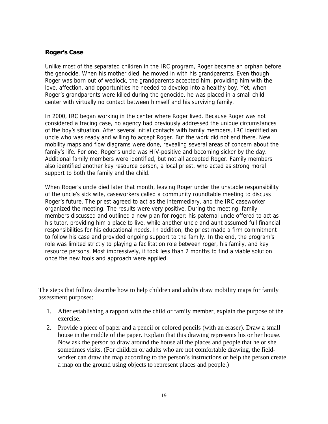#### **Roger's Case**

Unlike most of the separated children in the IRC program, Roger became an orphan before the genocide. When his mother died, he moved in with his grandparents. Even though Roger was born out of wedlock, the grandparents accepted him, providing him with the love, affection, and opportunities he needed to develop into a healthy boy. Yet, when Roger's grandparents were killed during the genocide, he was placed in a small child center with virtually no contact between himself and his surviving family.

In 2000, IRC began working in the center where Roger lived. Because Roger was not considered a tracing case, no agency had previously addressed the unique circumstances of the boy's situation. After several initial contacts with family members, IRC identified an uncle who was ready and willing to accept Roger. But the work did not end there. New mobility maps and flow diagrams were done, revealing several areas of concern about the family's life. For one, Roger's uncle was HIV-positive and becoming sicker by the day. Additional family members were identified, but not all accepted Roger. Family members also identified another key resource person, a local priest, who acted as strong moral support to both the family and the child.

When Roger's uncle died later that month, leaving Roger under the unstable responsibility of the uncle's sick wife, caseworkers called a community roundtable meeting to discuss Roger's future. The priest agreed to act as the intermediary, and the IRC caseworker organized the meeting. The results were very positive. During the meeting, family members discussed and outlined a new plan for roger: his paternal uncle offered to act as his tutor, providing him a place to live, while another uncle and aunt assumed full financial responsibilities for his educational needs. In addition, the priest made a firm commitment to follow his case and provided ongoing support to the family. In the end, the program's role was limited strictly to playing a facilitation role between roger, his family, and key resource persons. Most impressively, it took less than 2 months to find a viable solution once the new tools and approach were applied.

The steps that follow describe how to help children and adults draw mobility maps for family assessment purposes:

- 1. After establishing a rapport with the child or family member, explain the purpose of the exercise.
- 2. Provide a piece of paper and a pencil or colored pencils (with an eraser). Draw a small house in the middle of the paper. Explain that this drawing represents his or her house. Now ask the person to draw around the house all the places and people that he or she sometimes visits. (For children or adults who are not comfortable drawing, the fieldworker can draw the map according to the person's instructions or help the person create a map on the ground using objects to represent places and people.)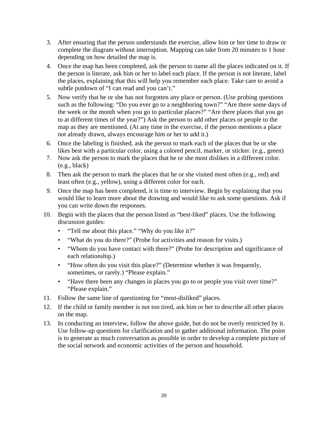- 3. After ensuring that the person understands the exercise, allow him or her time to draw or complete the diagram without interruption. Mapping can take from 20 minutes to 1 hour depending on how detailed the map is.
- 4. Once the map has been completed, ask the person to name all the places indicated on it. If the person is literate, ask him or her to label each place. If the person is not literate, label the places, explaining that this will help you remember each place. Take care to avoid a subtle putdown of "I can read and you can't."
- 5. Now verify that he or she has not forgotten any place or person. (Use probing questions such as the following: "Do you ever go to a neighboring town?" "Are there some days of the week or the month when you go to particular places?" "Are there places that you go to at different times of the year?") Ask the person to add other places or people to the map as they are mentioned. (At any time in the exercise, if the person mentions a place not already drawn, always encourage him or her to add it.)
- 6. Once the labeling is finished, ask the person to mark each of the places that he or she likes best with a particular color, using a colored pencil, marker, or sticker. (e.g., green)
- 7. Now ask the person to mark the places that he or she most dislikes in a different color. (e.g., black)
- 8. Then ask the person to mark the places that he or she visited most often (e.g., red) and least often (e.g., yellow), using a different color for each.
- 9. Once the map has been completed, it is time to interview. Begin by explaining that you would like to learn more about the drawing and would like to ask some questions. Ask if you can write down the responses.
- 10. Begin with the places that the person listed as "best-liked" places. Use the following discussion guides:
	- "Tell me about this place." "Why do you like it?"
	- "What do you do there?" (Probe for activities and reason for visits.)
	- "Whom do you have contact with there?" (Probe for description and significance of each relationship.)
	- "How often do you visit this place?" (Determine whether it was frequently, sometimes, or rarely.) "Please explain."
	- "Have there been any changes in places you go to or people you visit over time?" "Please explain."
- 11. Follow the same line of questioning for "most-disliked" places.
- 12. If the child or family member is not too tired, ask him or her to describe all other places on the map.
- 13. In conducting an interview, follow the above guide, but do not be overly restricted by it. Use follow-up questions for clarification and to gather additional information. The point is to generate as much conversation as possible in order to develop a complete picture of the social network and economic activities of the person and household.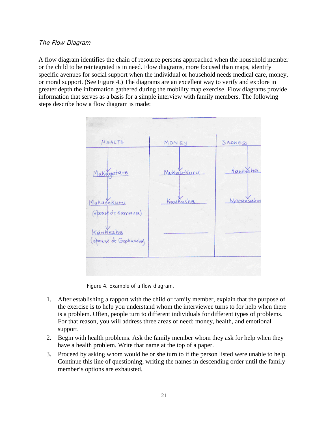## The Flow Diagram

A flow diagram identifies the chain of resource persons approached when the household member or the child to be reintegrated is in need. Flow diagrams, more focused than maps, identify specific avenues for social support when the individual or household needs medical care, money, or moral support. (See Figure 4.) The diagrams are an excellent way to verify and explore in greater depth the information gathered during the mobility map exercise. Flow diagrams provide information that serves as a basis for a simple interview with family members. The following steps describe how a flow diagram is made:



Figure 4. Example of a flow diagram.

- 1. After establishing a rapport with the child or family member, explain that the purpose of the exercise is to help you understand whom the interviewee turns to for help when there is a problem. Often, people turn to different individuals for different types of problems. For that reason, you will address three areas of need: money, health, and emotional support.
- 2. Begin with health problems. Ask the family member whom they ask for help when they have a health problem. Write that name at the top of a paper.
- 3. Proceed by asking whom would he or she turn to if the person listed were unable to help. Continue this line of questioning, writing the names in descending order until the family member's options are exhausted.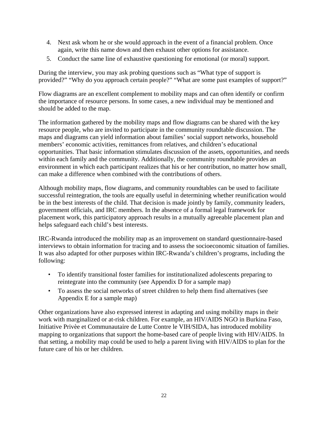- 4. Next ask whom he or she would approach in the event of a financial problem. Once again, write this name down and then exhaust other options for assistance.
- 5. Conduct the same line of exhaustive questioning for emotional (or moral) support.

During the interview, you may ask probing questions such as "What type of support is provided?" "Why do you approach certain people?" "What are some past examples of support?"

Flow diagrams are an excellent complement to mobility maps and can often identify or confirm the importance of resource persons. In some cases, a new individual may be mentioned and should be added to the map.

The information gathered by the mobility maps and flow diagrams can be shared with the key resource people, who are invited to participate in the community roundtable discussion. The maps and diagrams can yield information about families' social support networks, household members' economic activities, remittances from relatives, and children's educational opportunities. That basic information stimulates discussion of the assets, opportunities, and needs within each family and the community. Additionally, the community roundtable provides an environment in which each participant realizes that his or her contribution, no matter how small, can make a difference when combined with the contributions of others.

Although mobility maps, flow diagrams, and community roundtables can be used to facilitate successful reintegration, the tools are equally useful in determining whether reunification would be in the best interests of the child. That decision is made jointly by family, community leaders, government officials, and IRC members. In the absence of a formal legal framework for placement work, this participatory approach results in a mutually agreeable placement plan and helps safeguard each child's best interests.

IRC-Rwanda introduced the mobility map as an improvement on standard questionnaire-based interviews to obtain information for tracing and to assess the socioeconomic situation of families. It was also adapted for other purposes within IRC-Rwanda's children's programs, including the following:

- To identify transitional foster families for institutionalized adolescents preparing to reintegrate into the community (see Appendix D for a sample map)
- To assess the social networks of street children to help them find alternatives (see Appendix E for a sample map)

Other organizations have also expressed interest in adapting and using mobility maps in their work with marginalized or at-risk children. For example, an HIV/AIDS NGO in Burkina Faso, Initiative Privèe et Communautaire de Lutte Contre le VIH/SIDA, has introduced mobility mapping to organizations that support the home-based care of people living with HIV/AIDS. In that setting, a mobility map could be used to help a parent living with HIV/AIDS to plan for the future care of his or her children.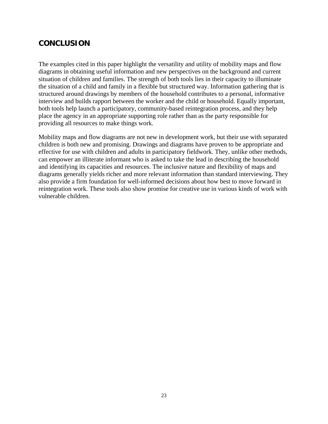## **CONCLUSION**

The examples cited in this paper highlight the versatility and utility of mobility maps and flow diagrams in obtaining useful information and new perspectives on the background and current situation of children and families. The strength of both tools lies in their capacity to illuminate the situation of a child and family in a flexible but structured way. Information gathering that is structured around drawings by members of the household contributes to a personal, informative interview and builds rapport between the worker and the child or household. Equally important, both tools help launch a participatory, community-based reintegration process, and they help place the agency in an appropriate supporting role rather than as the party responsible for providing all resources to make things work.

Mobility maps and flow diagrams are not new in development work, but their use with separated children is both new and promising. Drawings and diagrams have proven to be appropriate and effective for use with children and adults in participatory fieldwork. They, unlike other methods, can empower an illiterate informant who is asked to take the lead in describing the household and identifying its capacities and resources. The inclusive nature and flexibility of maps and diagrams generally yields richer and more relevant information than standard interviewing. They also provide a firm foundation for well-informed decisions about how best to move forward in reintegration work. These tools also show promise for creative use in various kinds of work with vulnerable children.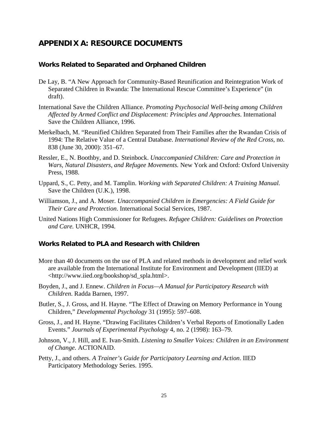## **APPENDIX A: RESOURCE DOCUMENTS**

#### **Works Related to Separated and Orphaned Children**

- De Lay, B. "A New Approach for Community-Based Reunification and Reintegration Work of Separated Children in Rwanda: The International Rescue Committee's Experience" (in draft).
- International Save the Children Alliance. *Promoting Psychosocial Well-being among Children Affected by Armed Conflict and Displacement: Principles and Approaches*. International Save the Children Alliance, 1996.
- Merkelbach, M. "Reunified Children Separated from Their Families after the Rwandan Crisis of 1994: The Relative Value of a Central Database. *International Review of the Red Cross*, no. 838 (June 30, 2000): 351–67.
- Ressler, E., N. Boothby, and D. Steinbock. *Unaccompanied Children: Care and Protection in Wars, Natural Disasters, and Refugee Movements.* New York and Oxford: Oxford University Press, 1988.
- Uppard, S., C. Petty, and M. Tamplin. *Working with Separated Children: A Training Manual.* Save the Children (U.K.), 1998.
- Williamson, J., and A. Moser. *Unaccompanied Children in Emergencies: A Field Guide for Their Care and Protection*. International Social Services, 1987.
- United Nations High Commissioner for Refugees. *Refugee Children: Guidelines on Protection and Care.* UNHCR, 1994.

#### **Works Related to PLA and Research with Children**

- More than 40 documents on the use of PLA and related methods in development and relief work are available from the International Institute for Environment and Development (IIED) at <http://www.iied.org/bookshop/sd\_spla.html>.
- Boyden, J., and J. Ennew. *Children in Focus—A Manual for Participatory Research with Children*. Radda Barnen, 1997.
- Butler, S., J. Gross, and H. Hayne. "The Effect of Drawing on Memory Performance in Young Children," *Developmental Psychology* 31 (1995): 597–608.
- Gross, J., and H. Hayne. "Drawing Facilitates Children's Verbal Reports of Emotionally Laden Events." *Journals of Experimental Psychology* 4, no. 2 (1998): 163–79.
- Johnson, V., J. Hill, and E. Ivan-Smith. *Listening to Smaller Voices: Children in an Environment of Change.* ACTIONAID.
- Petty, J., and others. *A Trainer's Guide for Participatory Learning and Action*. IIED Participatory Methodology Series. 1995.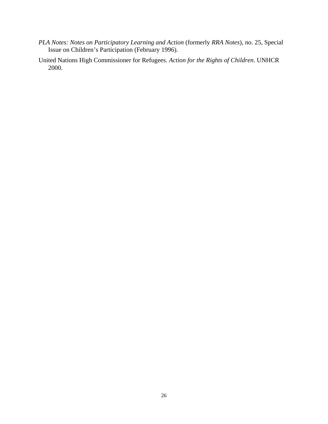*PLA Notes: Notes on Participatory Learning and Action* (formerly *RRA Notes*), no. 25, Special Issue on Children's Participation (February 1996).

United Nations High Commissioner for Refugees. *Action for the Rights of Children*. UNHCR 2000.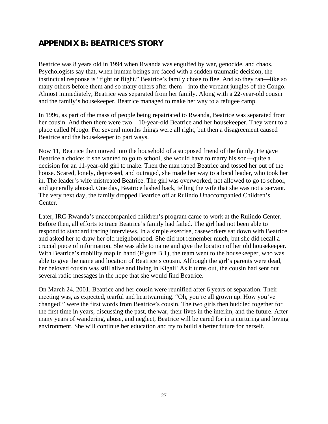# **APPENDIX B: BEATRICE'S STORY**

Beatrice was 8 years old in 1994 when Rwanda was engulfed by war, genocide, and chaos. Psychologists say that, when human beings are faced with a sudden traumatic decision, the instinctual response is "fight or flight." Beatrice's family chose to flee. And so they ran—like so many others before them and so many others after them—into the verdant jungles of the Congo. Almost immediately, Beatrice was separated from her family. Along with a 22-year-old cousin and the family's housekeeper, Beatrice managed to make her way to a refugee camp.

In 1996, as part of the mass of people being repatriated to Rwanda, Beatrice was separated from her cousin. And then there were two—10-year-old Beatrice and her housekeeper. They went to a place called Nbogo. For several months things were all right, but then a disagreement caused Beatrice and the housekeeper to part ways.

Now 11, Beatrice then moved into the household of a supposed friend of the family. He gave Beatrice a choice: if she wanted to go to school, she would have to marry his son—quite a decision for an 11-year-old girl to make. Then the man raped Beatrice and tossed her out of the house. Scared, lonely, depressed, and outraged, she made her way to a local leader, who took her in. The leader's wife mistreated Beatrice. The girl was overworked, not allowed to go to school, and generally abused. One day, Beatrice lashed back, telling the wife that she was not a servant. The very next day, the family dropped Beatrice off at Rulindo Unaccompanied Children's Center.

Later, IRC-Rwanda's unaccompanied children's program came to work at the Rulindo Center. Before then, all efforts to trace Beatrice's family had failed. The girl had not been able to respond to standard tracing interviews. In a simple exercise, caseworkers sat down with Beatrice and asked her to draw her old neighborhood. She did not remember much, but she did recall a crucial piece of information. She was able to name and give the location of her old housekeeper. With Beatrice's mobility map in hand (Figure B.1), the team went to the housekeeper, who was able to give the name and location of Beatrice's cousin. Although the girl's parents were dead, her beloved cousin was still alive and living in Kigali! As it turns out, the cousin had sent out several radio messages in the hope that she would find Beatrice.

On March 24, 2001, Beatrice and her cousin were reunified after 6 years of separation. Their meeting was, as expected, tearful and heartwarming. "Oh, you're all grown up. How you've changed!" were the first words from Beatrice's cousin. The two girls then huddled together for the first time in years, discussing the past, the war, their lives in the interim, and the future. After many years of wandering, abuse, and neglect, Beatrice will be cared for in a nurturing and loving environment. She will continue her education and try to build a better future for herself.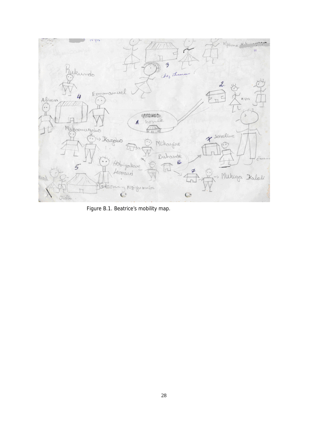

Figure B.1. Beatrice's mobility map.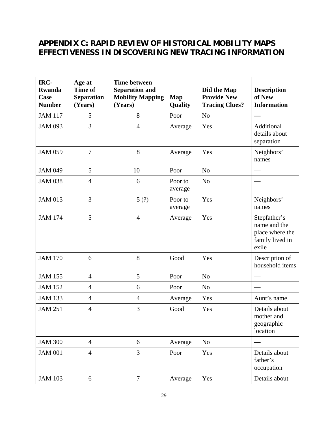# **APPENDIX C: RAPID REVIEW OF HISTORICAL MOBILITY MAPS EFFECTIVENESS IN DISCOVERING NEW TRACING INFORMATION**

| IRC-<br><b>Rwanda</b><br>Case<br><b>Number</b> | Age at<br><b>Time of</b><br><b>Separation</b><br>(Years) | <b>Time between</b><br><b>Separation and</b><br><b>Mobility Mapping</b><br>(Years) | <b>Map</b><br><b>Quality</b> | Did the Map<br><b>Provide New</b><br><b>Tracing Clues?</b> | <b>Description</b><br>of New<br><b>Information</b>                          |
|------------------------------------------------|----------------------------------------------------------|------------------------------------------------------------------------------------|------------------------------|------------------------------------------------------------|-----------------------------------------------------------------------------|
| <b>JAM 117</b>                                 | 5                                                        | 8                                                                                  | Poor                         | N <sub>o</sub>                                             |                                                                             |
| <b>JAM 093</b>                                 | 3                                                        | $\overline{4}$                                                                     | Average                      | Yes                                                        | Additional<br>details about<br>separation                                   |
| <b>JAM 059</b>                                 | $\overline{7}$                                           | 8                                                                                  | Average                      | Yes                                                        | Neighbors'<br>names                                                         |
| <b>JAM 049</b>                                 | 5                                                        | 10                                                                                 | Poor                         | N <sub>o</sub>                                             |                                                                             |
| <b>JAM 038</b>                                 | $\overline{4}$                                           | 6                                                                                  | Poor to<br>average           | N <sub>o</sub>                                             |                                                                             |
| <b>JAM 013</b>                                 | 3                                                        | 5(?)                                                                               | Poor to<br>average           | Yes                                                        | Neighbors'<br>names                                                         |
| <b>JAM 174</b>                                 | 5                                                        | $\overline{4}$                                                                     | Average                      | Yes                                                        | Stepfather's<br>name and the<br>place where the<br>family lived in<br>exile |
| <b>JAM 170</b>                                 | 6                                                        | 8                                                                                  | Good                         | Yes                                                        | Description of<br>household items                                           |
| <b>JAM 155</b>                                 | $\overline{4}$                                           | 5                                                                                  | Poor                         | N <sub>o</sub>                                             |                                                                             |
| <b>JAM 152</b>                                 | $\overline{4}$                                           | 6                                                                                  | Poor                         | N <sub>o</sub>                                             |                                                                             |
| <b>JAM 133</b>                                 | $\overline{4}$                                           | $\overline{4}$                                                                     | Average                      | Yes                                                        | Aunt's name                                                                 |
| <b>JAM 251</b>                                 | $\overline{4}$                                           | 3                                                                                  | Good                         | Yes                                                        | Details about<br>mother and<br>geographic<br>location                       |
| <b>JAM 300</b>                                 | $\overline{4}$                                           | 6                                                                                  | Average                      | No                                                         |                                                                             |
| <b>JAM 001</b>                                 | $\overline{4}$                                           | 3                                                                                  | Poor                         | Yes                                                        | Details about<br>father's<br>occupation                                     |
| <b>JAM 103</b>                                 | 6                                                        | $\overline{7}$                                                                     | Average                      | Yes                                                        | Details about                                                               |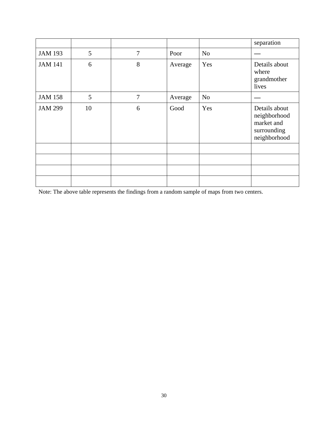|                |    |   |         |                | separation                                                                 |
|----------------|----|---|---------|----------------|----------------------------------------------------------------------------|
| <b>JAM 193</b> | 5  | 7 | Poor    | N <sub>o</sub> |                                                                            |
| <b>JAM 141</b> | 6  | 8 | Average | Yes            | Details about<br>where<br>grandmother<br>lives                             |
| <b>JAM 158</b> | 5  | 7 | Average | N <sub>o</sub> |                                                                            |
| <b>JAM 299</b> | 10 | 6 | Good    | Yes            | Details about<br>neighborhood<br>market and<br>surrounding<br>neighborhood |
|                |    |   |         |                |                                                                            |
|                |    |   |         |                |                                                                            |
|                |    |   |         |                |                                                                            |
|                |    |   |         |                |                                                                            |

Note: The above table represents the findings from a random sample of maps from two centers.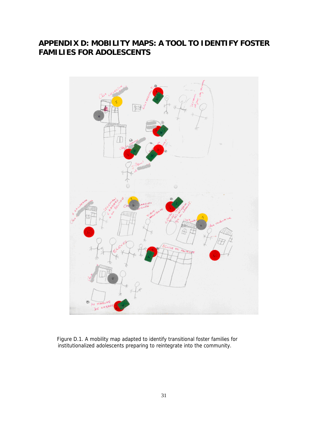# **APPENDIX D: MOBILITY MAPS: A TOOL TO IDENTIFY FOSTER FAMILIES FOR ADOLESCENTS**



Figure D.1. A mobility map adapted to identify transitional foster families for institutionalized adolescents preparing to reintegrate into the community.